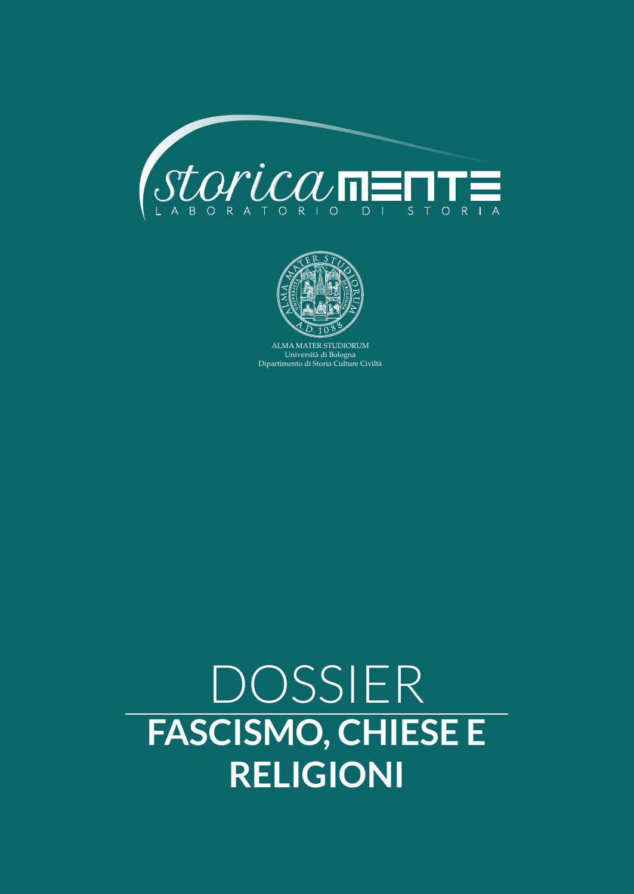



ALMA MATER STUDIORUM Università di Bologna Dipartimento di Storia Culture Civiltà

# DOSSIER **FASCISMO, CHIESE E RELIGIONI**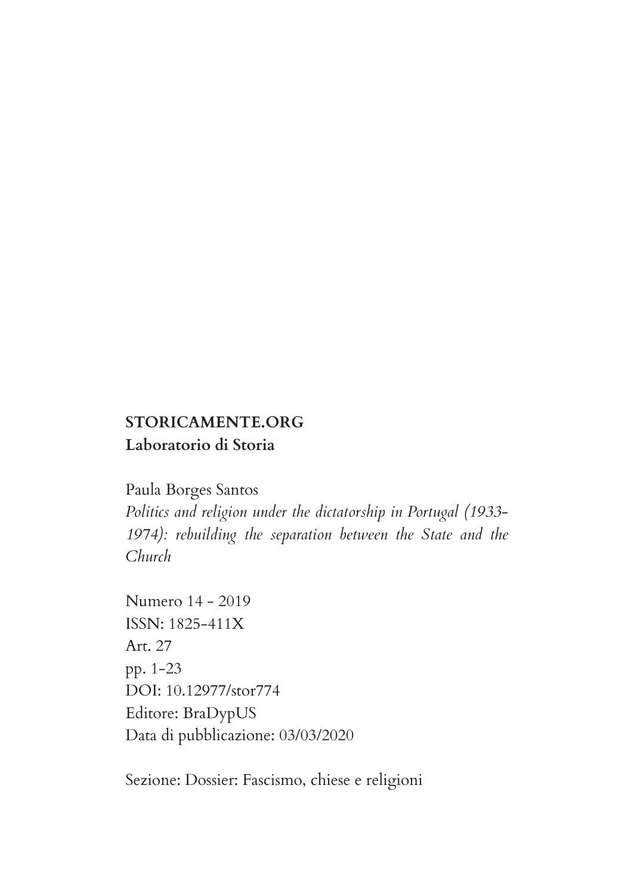#### **STORICAMENTE.ORG Laboratorio di Storia**

Paula Borges Santos

*Politics and religion under the dictatorship in Portugal (1933- 1974): rebuilding the separation between the State and the Church*

Numero 14 - 2019 ISSN: 1825-411X Art. 27 pp. 1-23 DOI: 10.12977/stor774 Editore: BraDypUS Data di pubblicazione: 03/03/2020

Sezione: Dossier: Fascismo, chiese e religioni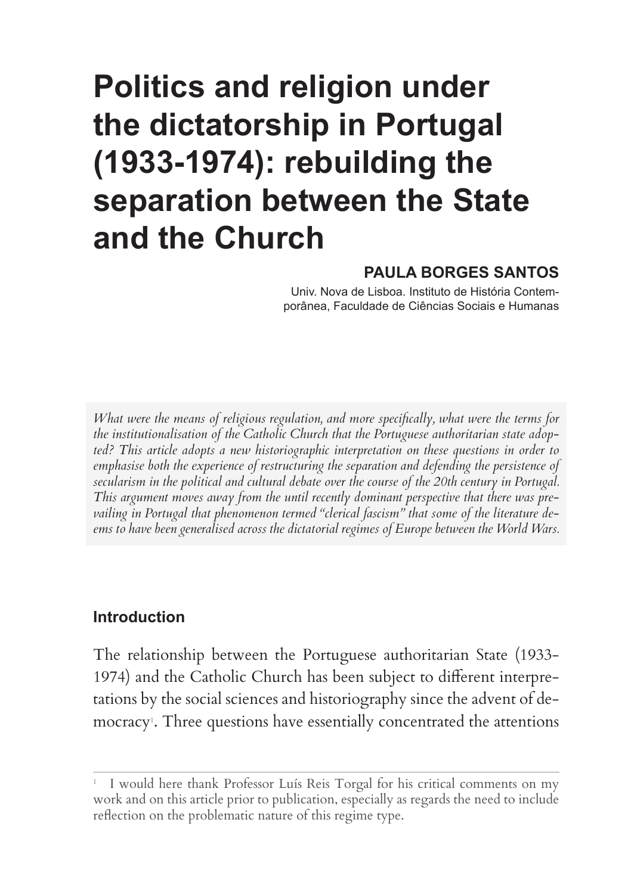# **Politics and religion under the dictatorship in Portugal (1933-1974): rebuilding the separation between the State and the Church**

#### **Paula Borges Santos**

Univ. Nova de Lisboa. Instituto de História Contemporânea, Faculdade de Ciências Sociais e Humanas

*What were the means of religious regulation, and more specifically, what were the terms for the institutionalisation of the Catholic Church that the Portuguese authoritarian state adopted? This article adopts a new historiographic interpretation on these questions in order to emphasise both the experience of restructuring the separation and defending the persistence of secularism in the political and cultural debate over the course of the 20th century in Portugal. This argument moves away from the until recently dominant perspective that there was prevailing in Portugal that phenomenon termed "clerical fascism" that some of the literature deems to have been generalised across the dictatorial regimes of Europe between the World Wars.*

#### **Introduction**

The relationship between the Portuguese authoritarian State (1933- 1974) and the Catholic Church has been subject to different interpretations by the social sciences and historiography since the advent of democracy<sup>.</sup>. Three questions have essentially concentrated the attentions

<sup>1</sup> I would here thank Professor Luís Reis Torgal for his critical comments on my work and on this article prior to publication, especially as regards the need to include reflection on the problematic nature of this regime type.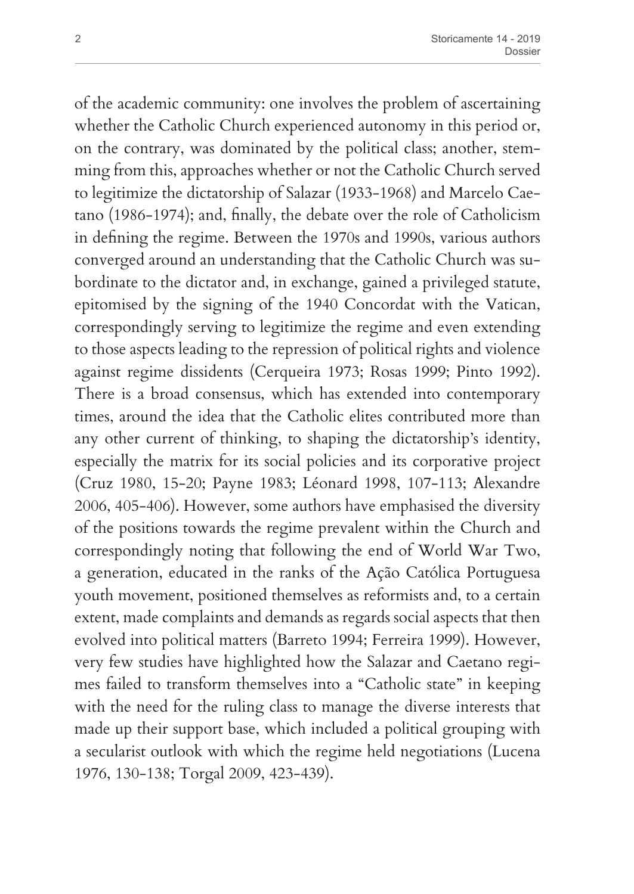of the academic community: one involves the problem of ascertaining whether the Catholic Church experienced autonomy in this period or, on the contrary, was dominated by the political class; another, stemming from this, approaches whether or not the Catholic Church served to legitimize the dictatorship of Salazar (1933-1968) and Marcelo Caetano (1986-1974); and, finally, the debate over the role of Catholicism in defining the regime. Between the 1970s and 1990s, various authors converged around an understanding that the Catholic Church was subordinate to the dictator and, in exchange, gained a privileged statute, epitomised by the signing of the 1940 Concordat with the Vatican, correspondingly serving to legitimize the regime and even extending to those aspects leading to the repression of political rights and violence against regime dissidents (Cerqueira 1973; Rosas 1999; Pinto 1992). There is a broad consensus, which has extended into contemporary times, around the idea that the Catholic elites contributed more than any other current of thinking, to shaping the dictatorship's identity, especially the matrix for its social policies and its corporative project (Cruz 1980, 15-20; Payne 1983; Léonard 1998, 107-113; Alexandre 2006, 405-406). However, some authors have emphasised the diversity of the positions towards the regime prevalent within the Church and correspondingly noting that following the end of World War Two, a generation, educated in the ranks of the Ação Católica Portuguesa youth movement, positioned themselves as reformists and, to a certain extent, made complaints and demands as regards social aspects that then evolved into political matters (Barreto 1994; Ferreira 1999). However, very few studies have highlighted how the Salazar and Caetano regimes failed to transform themselves into a "Catholic state" in keeping with the need for the ruling class to manage the diverse interests that made up their support base, which included a political grouping with a secularist outlook with which the regime held negotiations (Lucena 1976, 130-138; Torgal 2009, 423-439).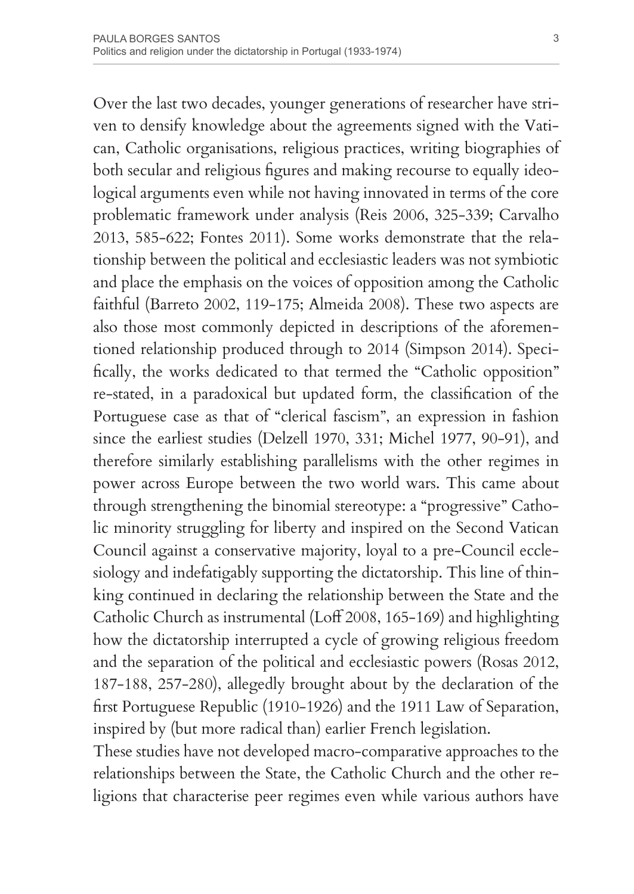Over the last two decades, younger generations of researcher have striven to densify knowledge about the agreements signed with the Vatican, Catholic organisations, religious practices, writing biographies of both secular and religious figures and making recourse to equally ideological arguments even while not having innovated in terms of the core problematic framework under analysis (Reis 2006, 325-339; Carvalho 2013, 585-622; Fontes 2011). Some works demonstrate that the relationship between the political and ecclesiastic leaders was not symbiotic and place the emphasis on the voices of opposition among the Catholic faithful (Barreto 2002, 119-175; Almeida 2008). These two aspects are also those most commonly depicted in descriptions of the aforementioned relationship produced through to 2014 (Simpson 2014). Specifically, the works dedicated to that termed the "Catholic opposition" re-stated, in a paradoxical but updated form, the classification of the Portuguese case as that of "clerical fascism", an expression in fashion since the earliest studies (Delzell 1970, 331; Michel 1977, 90-91), and therefore similarly establishing parallelisms with the other regimes in power across Europe between the two world wars. This came about through strengthening the binomial stereotype: a "progressive" Catholic minority struggling for liberty and inspired on the Second Vatican Council against a conservative majority, loyal to a pre-Council ecclesiology and indefatigably supporting the dictatorship. This line of thinking continued in declaring the relationship between the State and the Catholic Church as instrumental (Loff 2008, 165-169) and highlighting how the dictatorship interrupted a cycle of growing religious freedom and the separation of the political and ecclesiastic powers (Rosas 2012, 187-188, 257-280), allegedly brought about by the declaration of the first Portuguese Republic (1910-1926) and the 1911 Law of Separation, inspired by (but more radical than) earlier French legislation.

These studies have not developed macro-comparative approaches to the relationships between the State, the Catholic Church and the other religions that characterise peer regimes even while various authors have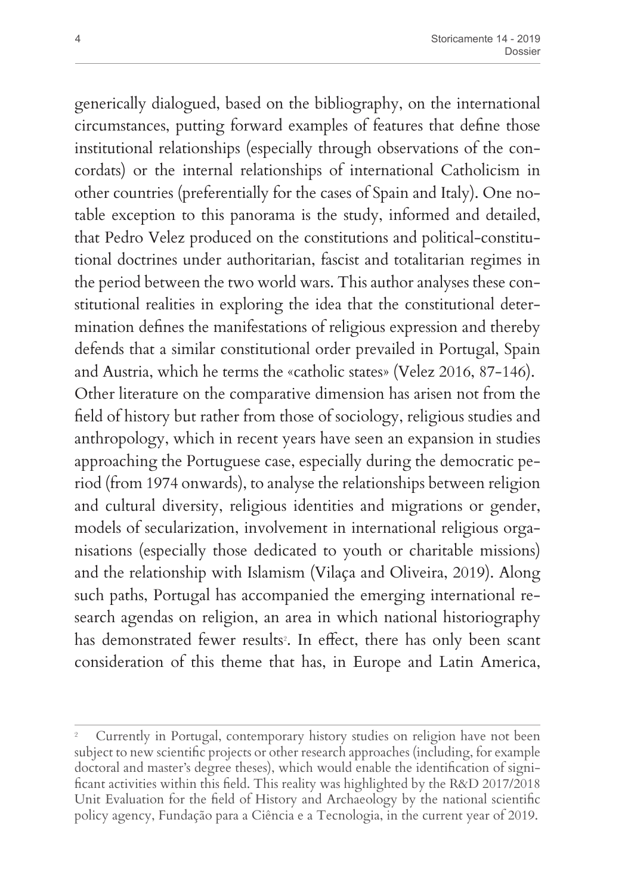generically dialogued, based on the bibliography, on the international circumstances, putting forward examples of features that define those institutional relationships (especially through observations of the concordats) or the internal relationships of international Catholicism in other countries (preferentially for the cases of Spain and Italy). One notable exception to this panorama is the study, informed and detailed, that Pedro Velez produced on the constitutions and political-constitutional doctrines under authoritarian, fascist and totalitarian regimes in the period between the two world wars. This author analyses these constitutional realities in exploring the idea that the constitutional determination defines the manifestations of religious expression and thereby defends that a similar constitutional order prevailed in Portugal, Spain and Austria, which he terms the «catholic states» (Velez 2016, 87-146). Other literature on the comparative dimension has arisen not from the field of history but rather from those of sociology, religious studies and anthropology, which in recent years have seen an expansion in studies approaching the Portuguese case, especially during the democratic period (from 1974 onwards), to analyse the relationships between religion and cultural diversity, religious identities and migrations or gender, models of secularization, involvement in international religious organisations (especially those dedicated to youth or charitable missions) and the relationship with Islamism (Vilaça and Oliveira, 2019). Along such paths, Portugal has accompanied the emerging international research agendas on religion, an area in which national historiography has demonstrated fewer results<sup>2</sup>. In effect, there has only been scant consideration of this theme that has, in Europe and Latin America,

<sup>2</sup> Currently in Portugal, contemporary history studies on religion have not been subject to new scientific projects or other research approaches (including, for example doctoral and master's degree theses), which would enable the identification of significant activities within this field. This reality was highlighted by the R&D 2017/2018 Unit Evaluation for the field of History and Archaeology by the national scientific policy agency, Fundação para a Ciência e a Tecnologia, in the current year of 2019.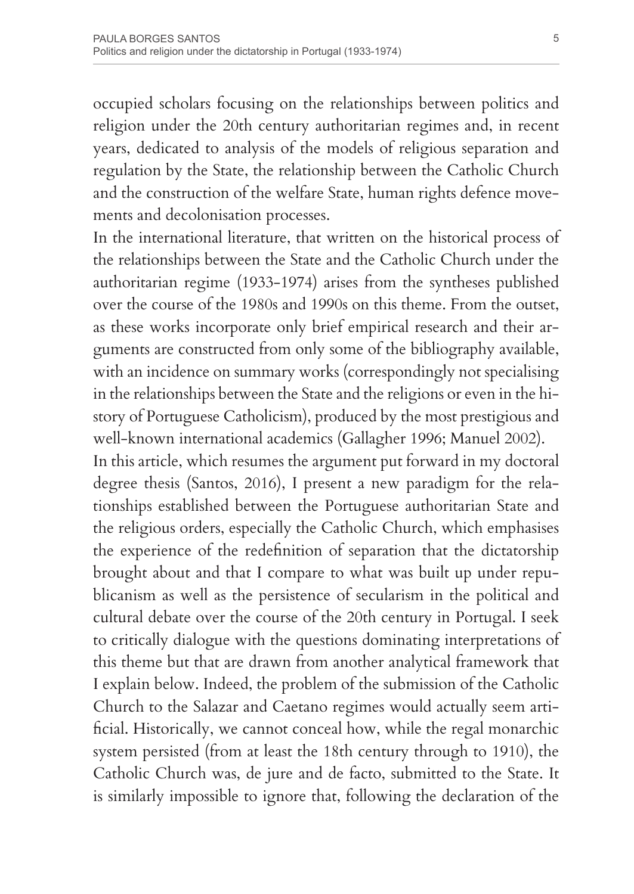occupied scholars focusing on the relationships between politics and religion under the 20th century authoritarian regimes and, in recent years, dedicated to analysis of the models of religious separation and regulation by the State, the relationship between the Catholic Church and the construction of the welfare State, human rights defence movements and decolonisation processes.

In the international literature, that written on the historical process of the relationships between the State and the Catholic Church under the authoritarian regime (1933-1974) arises from the syntheses published over the course of the 1980s and 1990s on this theme. From the outset, as these works incorporate only brief empirical research and their arguments are constructed from only some of the bibliography available, with an incidence on summary works (correspondingly not specialising in the relationships between the State and the religions or even in the history of Portuguese Catholicism), produced by the most prestigious and well-known international academics (Gallagher 1996; Manuel 2002).

In this article, which resumes the argument put forward in my doctoral degree thesis (Santos, 2016), I present a new paradigm for the relationships established between the Portuguese authoritarian State and the religious orders, especially the Catholic Church, which emphasises the experience of the redefinition of separation that the dictatorship brought about and that I compare to what was built up under republicanism as well as the persistence of secularism in the political and cultural debate over the course of the 20th century in Portugal. I seek to critically dialogue with the questions dominating interpretations of this theme but that are drawn from another analytical framework that I explain below. Indeed, the problem of the submission of the Catholic Church to the Salazar and Caetano regimes would actually seem artificial. Historically, we cannot conceal how, while the regal monarchic system persisted (from at least the 18th century through to 1910), the Catholic Church was, de jure and de facto, submitted to the State. It is similarly impossible to ignore that, following the declaration of the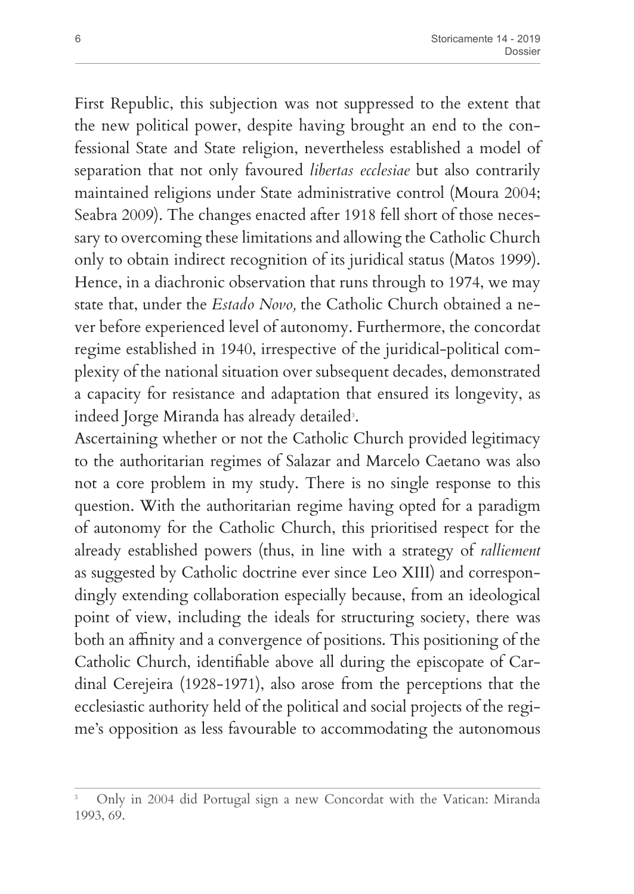First Republic, this subjection was not suppressed to the extent that the new political power, despite having brought an end to the confessional State and State religion, nevertheless established a model of separation that not only favoured *libertas ecclesiae* but also contrarily maintained religions under State administrative control (Moura 2004; Seabra 2009). The changes enacted after 1918 fell short of those necessary to overcoming these limitations and allowing the Catholic Church only to obtain indirect recognition of its juridical status (Matos 1999). Hence, in a diachronic observation that runs through to 1974, we may state that, under the *Estado Novo,* the Catholic Church obtained a never before experienced level of autonomy. Furthermore, the concordat regime established in 1940, irrespective of the juridical-political complexity of the national situation over subsequent decades, demonstrated a capacity for resistance and adaptation that ensured its longevity, as indeed Jorge Miranda has already detailed<sup>,</sup>.

Ascertaining whether or not the Catholic Church provided legitimacy to the authoritarian regimes of Salazar and Marcelo Caetano was also not a core problem in my study. There is no single response to this question. With the authoritarian regime having opted for a paradigm of autonomy for the Catholic Church, this prioritised respect for the already established powers (thus, in line with a strategy of *ralliement* as suggested by Catholic doctrine ever since Leo XIII) and correspondingly extending collaboration especially because, from an ideological point of view, including the ideals for structuring society, there was both an affinity and a convergence of positions. This positioning of the Catholic Church, identifiable above all during the episcopate of Cardinal Cerejeira (1928-1971), also arose from the perceptions that the ecclesiastic authority held of the political and social projects of the regime's opposition as less favourable to accommodating the autonomous

<sup>3</sup> Only in 2004 did Portugal sign a new Concordat with the Vatican: Miranda 1993, 69.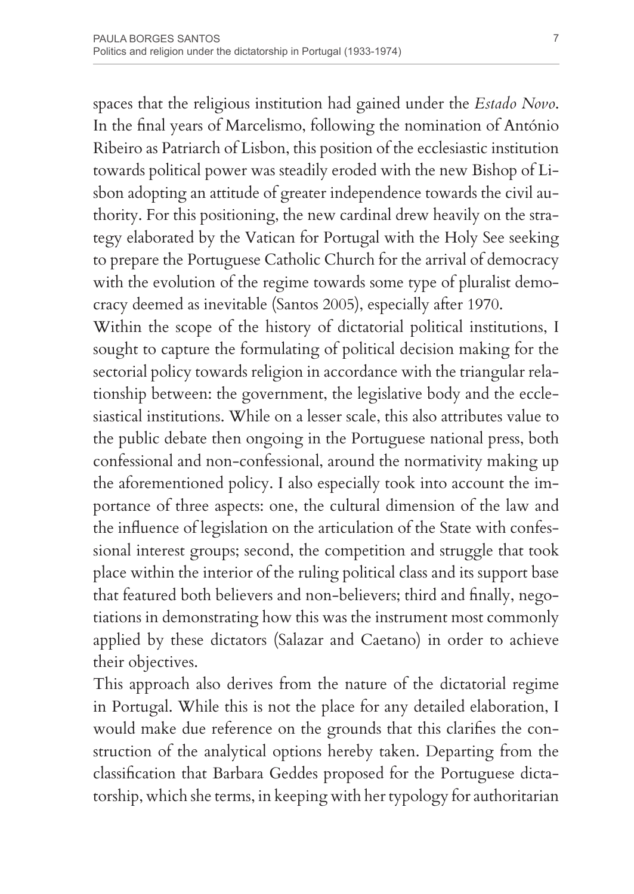spaces that the religious institution had gained under the *Estado Novo*. In the final years of Marcelismo, following the nomination of António Ribeiro as Patriarch of Lisbon, this position of the ecclesiastic institution towards political power was steadily eroded with the new Bishop of Lisbon adopting an attitude of greater independence towards the civil authority. For this positioning, the new cardinal drew heavily on the strategy elaborated by the Vatican for Portugal with the Holy See seeking to prepare the Portuguese Catholic Church for the arrival of democracy with the evolution of the regime towards some type of pluralist democracy deemed as inevitable (Santos 2005), especially after 1970.

Within the scope of the history of dictatorial political institutions, I sought to capture the formulating of political decision making for the sectorial policy towards religion in accordance with the triangular relationship between: the government, the legislative body and the ecclesiastical institutions. While on a lesser scale, this also attributes value to the public debate then ongoing in the Portuguese national press, both confessional and non-confessional, around the normativity making up the aforementioned policy. I also especially took into account the importance of three aspects: one, the cultural dimension of the law and the influence of legislation on the articulation of the State with confessional interest groups; second, the competition and struggle that took place within the interior of the ruling political class and its support base that featured both believers and non-believers; third and finally, negotiations in demonstrating how this was the instrument most commonly applied by these dictators (Salazar and Caetano) in order to achieve their objectives.

This approach also derives from the nature of the dictatorial regime in Portugal. While this is not the place for any detailed elaboration, I would make due reference on the grounds that this clarifies the construction of the analytical options hereby taken. Departing from the classification that Barbara Geddes proposed for the Portuguese dictatorship, which she terms, in keeping with her typology for authoritarian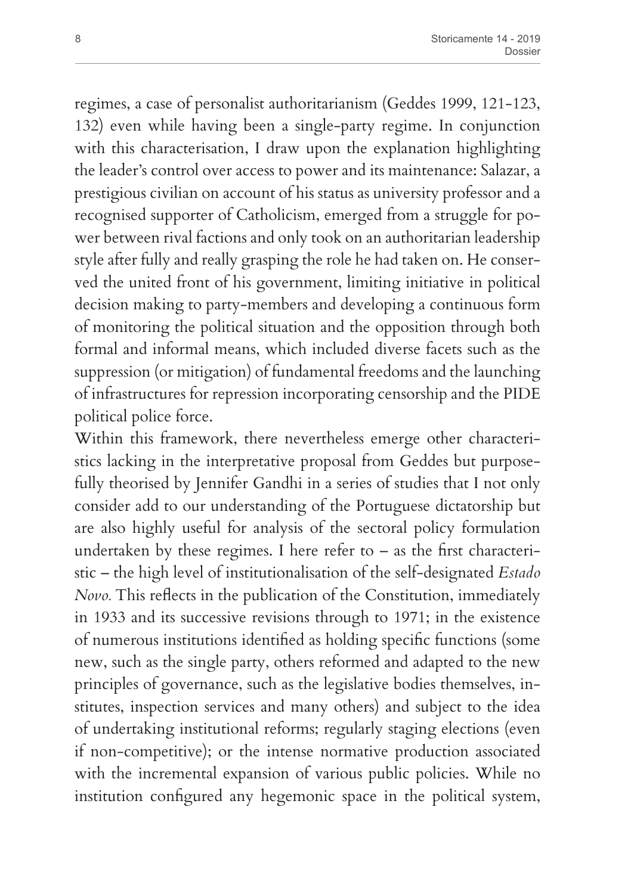regimes, a case of personalist authoritarianism (Geddes 1999, 121-123, 132) even while having been a single-party regime. In conjunction with this characterisation, I draw upon the explanation highlighting the leader's control over access to power and its maintenance: Salazar, a prestigious civilian on account of his status as university professor and a recognised supporter of Catholicism, emerged from a struggle for power between rival factions and only took on an authoritarian leadership style after fully and really grasping the role he had taken on. He conserved the united front of his government, limiting initiative in political decision making to party-members and developing a continuous form of monitoring the political situation and the opposition through both formal and informal means, which included diverse facets such as the suppression (or mitigation) of fundamental freedoms and the launching of infrastructures for repression incorporating censorship and the PIDE political police force.

Within this framework, there nevertheless emerge other characteristics lacking in the interpretative proposal from Geddes but purposefully theorised by Jennifer Gandhi in a series of studies that I not only consider add to our understanding of the Portuguese dictatorship but are also highly useful for analysis of the sectoral policy formulation undertaken by these regimes. I here refer to – as the first characteristic – the high level of institutionalisation of the self-designated *Estado Novo.* This reflects in the publication of the Constitution, immediately in 1933 and its successive revisions through to 1971; in the existence of numerous institutions identified as holding specific functions (some new, such as the single party, others reformed and adapted to the new principles of governance, such as the legislative bodies themselves, institutes, inspection services and many others) and subject to the idea of undertaking institutional reforms; regularly staging elections (even if non-competitive); or the intense normative production associated with the incremental expansion of various public policies. While no institution configured any hegemonic space in the political system,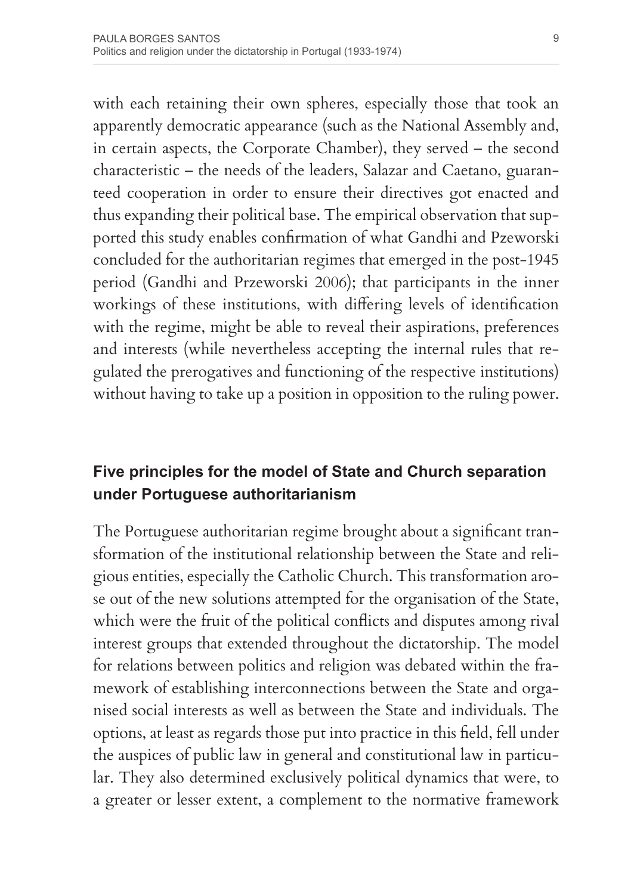with each retaining their own spheres, especially those that took an apparently democratic appearance (such as the National Assembly and, in certain aspects, the Corporate Chamber), they served – the second characteristic – the needs of the leaders, Salazar and Caetano, guaranteed cooperation in order to ensure their directives got enacted and thus expanding their political base. The empirical observation that supported this study enables confirmation of what Gandhi and Pzeworski concluded for the authoritarian regimes that emerged in the post-1945 period (Gandhi and Przeworski 2006); that participants in the inner workings of these institutions, with differing levels of identification with the regime, might be able to reveal their aspirations, preferences and interests (while nevertheless accepting the internal rules that regulated the prerogatives and functioning of the respective institutions) without having to take up a position in opposition to the ruling power.

# **Five principles for the model of State and Church separation under Portuguese authoritarianism**

The Portuguese authoritarian regime brought about a significant transformation of the institutional relationship between the State and religious entities, especially the Catholic Church. This transformation arose out of the new solutions attempted for the organisation of the State, which were the fruit of the political conflicts and disputes among rival interest groups that extended throughout the dictatorship. The model for relations between politics and religion was debated within the framework of establishing interconnections between the State and organised social interests as well as between the State and individuals. The options, at least as regards those put into practice in this field, fell under the auspices of public law in general and constitutional law in particular. They also determined exclusively political dynamics that were, to a greater or lesser extent, a complement to the normative framework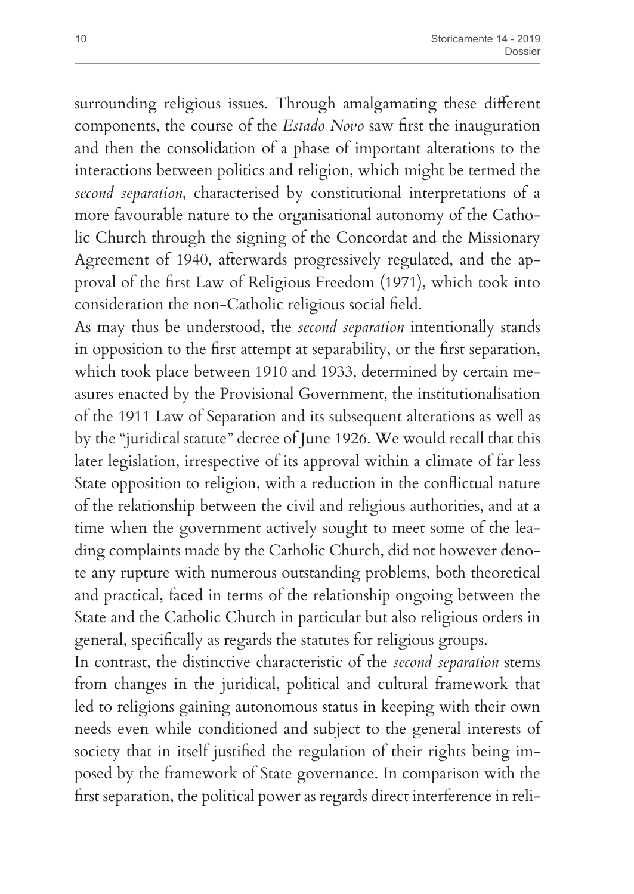surrounding religious issues. Through amalgamating these different components, the course of the *Estado Novo* saw first the inauguration and then the consolidation of a phase of important alterations to the interactions between politics and religion, which might be termed the *second separation*, characterised by constitutional interpretations of a more favourable nature to the organisational autonomy of the Catholic Church through the signing of the Concordat and the Missionary Agreement of 1940, afterwards progressively regulated, and the approval of the first Law of Religious Freedom (1971), which took into consideration the non-Catholic religious social field.

As may thus be understood, the *second separation* intentionally stands in opposition to the first attempt at separability, or the first separation, which took place between 1910 and 1933, determined by certain measures enacted by the Provisional Government, the institutionalisation of the 1911 Law of Separation and its subsequent alterations as well as by the "juridical statute" decree of June 1926. We would recall that this later legislation, irrespective of its approval within a climate of far less State opposition to religion, with a reduction in the conflictual nature of the relationship between the civil and religious authorities, and at a time when the government actively sought to meet some of the leading complaints made by the Catholic Church, did not however denote any rupture with numerous outstanding problems, both theoretical and practical, faced in terms of the relationship ongoing between the State and the Catholic Church in particular but also religious orders in general, specifically as regards the statutes for religious groups.

In contrast, the distinctive characteristic of the *second separation* stems from changes in the juridical, political and cultural framework that led to religions gaining autonomous status in keeping with their own needs even while conditioned and subject to the general interests of society that in itself justified the regulation of their rights being imposed by the framework of State governance. In comparison with the first separation, the political power as regards direct interference in reli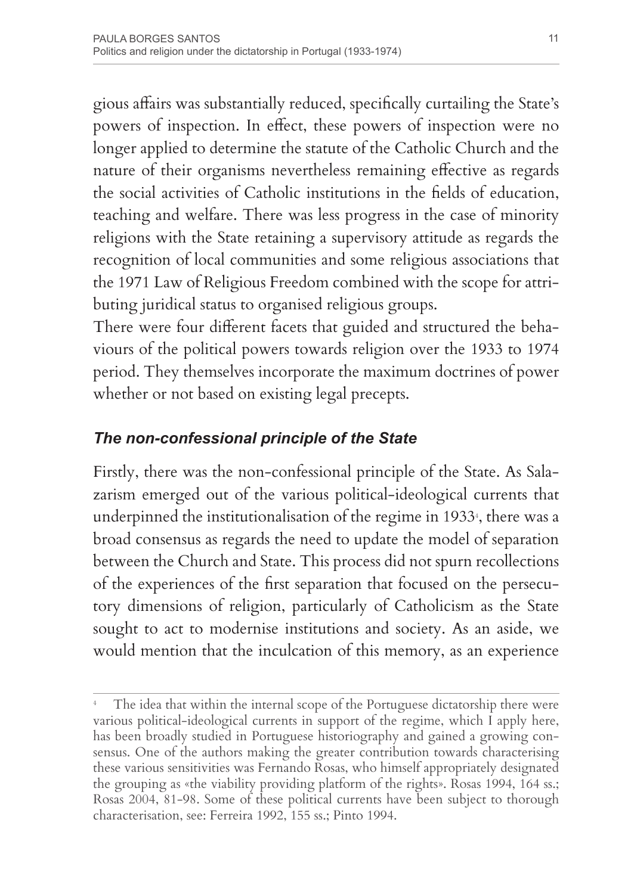gious affairs was substantially reduced, specifically curtailing the State's powers of inspection. In effect, these powers of inspection were no longer applied to determine the statute of the Catholic Church and the nature of their organisms nevertheless remaining effective as regards the social activities of Catholic institutions in the fields of education, teaching and welfare. There was less progress in the case of minority religions with the State retaining a supervisory attitude as regards the recognition of local communities and some religious associations that the 1971 Law of Religious Freedom combined with the scope for attributing juridical status to organised religious groups.

There were four different facets that guided and structured the behaviours of the political powers towards religion over the 1933 to 1974 period. They themselves incorporate the maximum doctrines of power whether or not based on existing legal precepts.

# *The non-confessional principle of the State*

Firstly, there was the non-confessional principle of the State. As Salazarism emerged out of the various political-ideological currents that underpinned the institutionalisation of the regime in 1933 $^{\circ}$ , there was a broad consensus as regards the need to update the model of separation between the Church and State. This process did not spurn recollections of the experiences of the first separation that focused on the persecutory dimensions of religion, particularly of Catholicism as the State sought to act to modernise institutions and society. As an aside, we would mention that the inculcation of this memory, as an experience

<sup>4</sup> The idea that within the internal scope of the Portuguese dictatorship there were various political-ideological currents in support of the regime, which I apply here, has been broadly studied in Portuguese historiography and gained a growing consensus. One of the authors making the greater contribution towards characterising these various sensitivities was Fernando Rosas, who himself appropriately designated the grouping as «the viability providing platform of the rights». Rosas 1994, 164 ss.; Rosas 2004, 81-98. Some of these political currents have been subject to thorough characterisation, see: Ferreira 1992, 155 ss.; Pinto 1994.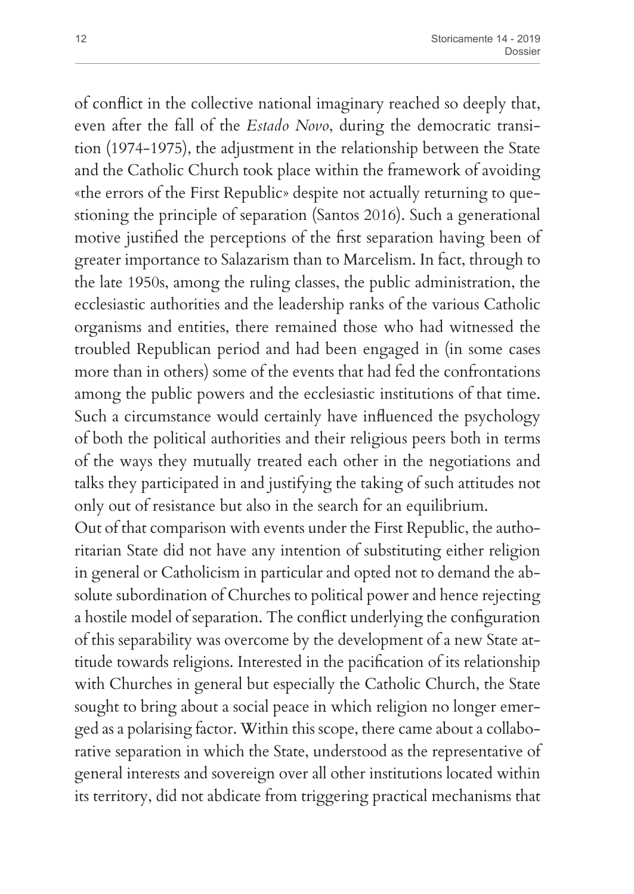of conflict in the collective national imaginary reached so deeply that, even after the fall of the *Estado Novo*, during the democratic transition (1974-1975), the adjustment in the relationship between the State and the Catholic Church took place within the framework of avoiding «the errors of the First Republic» despite not actually returning to questioning the principle of separation (Santos 2016). Such a generational motive justified the perceptions of the first separation having been of greater importance to Salazarism than to Marcelism. In fact, through to the late 1950s, among the ruling classes, the public administration, the ecclesiastic authorities and the leadership ranks of the various Catholic organisms and entities, there remained those who had witnessed the troubled Republican period and had been engaged in (in some cases more than in others) some of the events that had fed the confrontations among the public powers and the ecclesiastic institutions of that time. Such a circumstance would certainly have influenced the psychology of both the political authorities and their religious peers both in terms of the ways they mutually treated each other in the negotiations and talks they participated in and justifying the taking of such attitudes not only out of resistance but also in the search for an equilibrium.

Out of that comparison with events under the First Republic, the authoritarian State did not have any intention of substituting either religion in general or Catholicism in particular and opted not to demand the absolute subordination of Churches to political power and hence rejecting a hostile model of separation. The conflict underlying the configuration of this separability was overcome by the development of a new State attitude towards religions. Interested in the pacification of its relationship with Churches in general but especially the Catholic Church, the State sought to bring about a social peace in which religion no longer emerged as a polarising factor. Within this scope, there came about a collaborative separation in which the State, understood as the representative of general interests and sovereign over all other institutions located within its territory, did not abdicate from triggering practical mechanisms that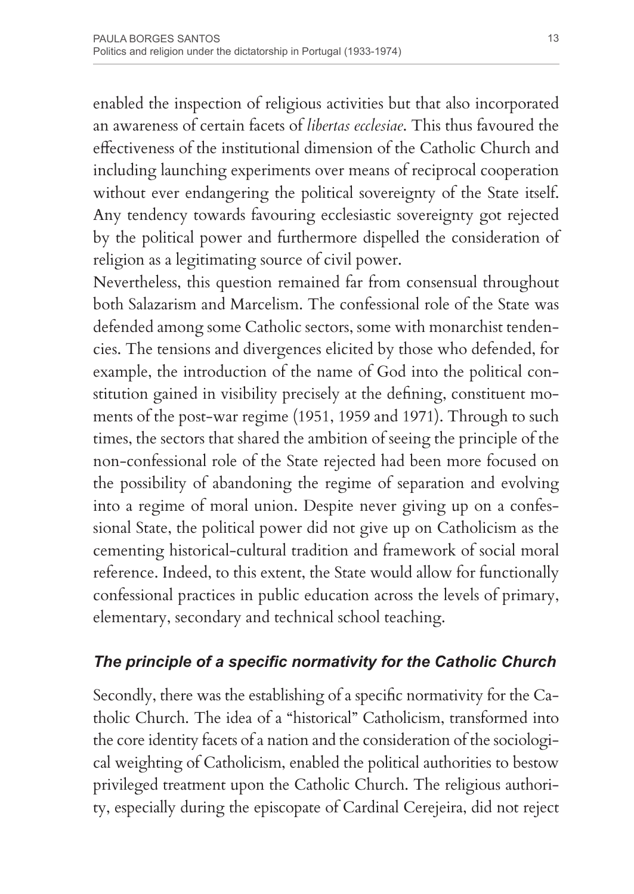enabled the inspection of religious activities but that also incorporated an awareness of certain facets of *libertas ecclesiae*. This thus favoured the effectiveness of the institutional dimension of the Catholic Church and including launching experiments over means of reciprocal cooperation without ever endangering the political sovereignty of the State itself. Any tendency towards favouring ecclesiastic sovereignty got rejected by the political power and furthermore dispelled the consideration of religion as a legitimating source of civil power.

Nevertheless, this question remained far from consensual throughout both Salazarism and Marcelism. The confessional role of the State was defended among some Catholic sectors, some with monarchist tendencies. The tensions and divergences elicited by those who defended, for example, the introduction of the name of God into the political constitution gained in visibility precisely at the defining, constituent moments of the post-war regime (1951, 1959 and 1971). Through to such times, the sectors that shared the ambition of seeing the principle of the non-confessional role of the State rejected had been more focused on the possibility of abandoning the regime of separation and evolving into a regime of moral union. Despite never giving up on a confessional State, the political power did not give up on Catholicism as the cementing historical-cultural tradition and framework of social moral reference. Indeed, to this extent, the State would allow for functionally confessional practices in public education across the levels of primary, elementary, secondary and technical school teaching.

### *The principle of a specific normativity for the Catholic Church*

Secondly, there was the establishing of a specific normativity for the Catholic Church. The idea of a "historical" Catholicism, transformed into the core identity facets of a nation and the consideration of the sociological weighting of Catholicism, enabled the political authorities to bestow privileged treatment upon the Catholic Church. The religious authority, especially during the episcopate of Cardinal Cerejeira, did not reject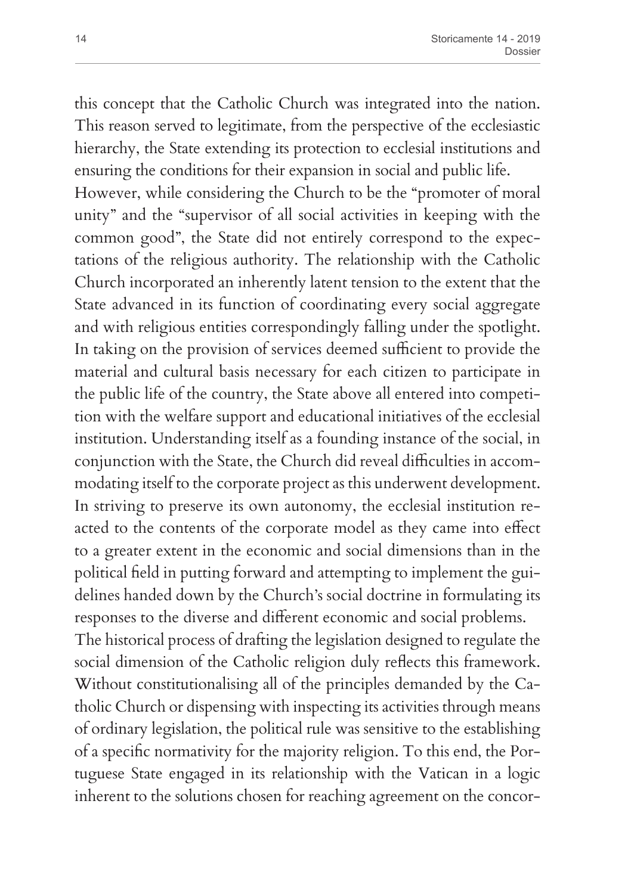this concept that the Catholic Church was integrated into the nation. This reason served to legitimate, from the perspective of the ecclesiastic hierarchy, the State extending its protection to ecclesial institutions and ensuring the conditions for their expansion in social and public life. However, while considering the Church to be the "promoter of moral unity" and the "supervisor of all social activities in keeping with the common good", the State did not entirely correspond to the expectations of the religious authority. The relationship with the Catholic Church incorporated an inherently latent tension to the extent that the State advanced in its function of coordinating every social aggregate and with religious entities correspondingly falling under the spotlight. In taking on the provision of services deemed sufficient to provide the material and cultural basis necessary for each citizen to participate in the public life of the country, the State above all entered into competition with the welfare support and educational initiatives of the ecclesial institution. Understanding itself as a founding instance of the social, in conjunction with the State, the Church did reveal difficulties in accommodating itself to the corporate project as this underwent development. In striving to preserve its own autonomy, the ecclesial institution reacted to the contents of the corporate model as they came into effect to a greater extent in the economic and social dimensions than in the political field in putting forward and attempting to implement the guidelines handed down by the Church's social doctrine in formulating its responses to the diverse and different economic and social problems. The historical process of drafting the legislation designed to regulate the social dimension of the Catholic religion duly reflects this framework. Without constitutionalising all of the principles demanded by the Catholic Church or dispensing with inspecting its activities through means of ordinary legislation, the political rule was sensitive to the establishing of a specific normativity for the majority religion. To this end, the Portuguese State engaged in its relationship with the Vatican in a logic inherent to the solutions chosen for reaching agreement on the concor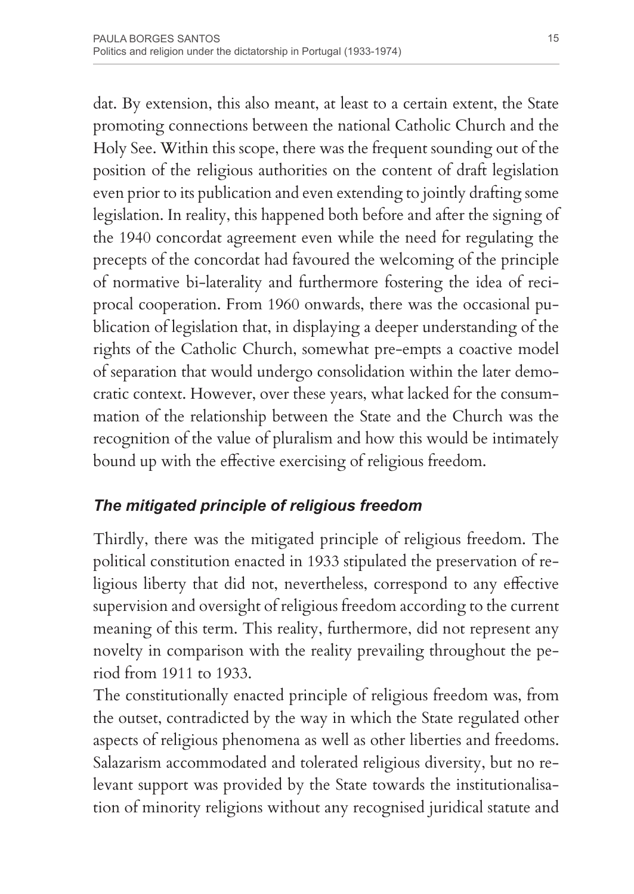dat. By extension, this also meant, at least to a certain extent, the State promoting connections between the national Catholic Church and the Holy See. Within this scope, there was the frequent sounding out of the position of the religious authorities on the content of draft legislation even prior to its publication and even extending to jointly drafting some legislation. In reality, this happened both before and after the signing of the 1940 concordat agreement even while the need for regulating the precepts of the concordat had favoured the welcoming of the principle of normative bi-laterality and furthermore fostering the idea of reciprocal cooperation. From 1960 onwards, there was the occasional publication of legislation that, in displaying a deeper understanding of the rights of the Catholic Church, somewhat pre-empts a coactive model of separation that would undergo consolidation within the later democratic context. However, over these years, what lacked for the consummation of the relationship between the State and the Church was the recognition of the value of pluralism and how this would be intimately bound up with the effective exercising of religious freedom.

### *The mitigated principle of religious freedom*

Thirdly, there was the mitigated principle of religious freedom. The political constitution enacted in 1933 stipulated the preservation of religious liberty that did not, nevertheless, correspond to any effective supervision and oversight of religious freedom according to the current meaning of this term. This reality, furthermore, did not represent any novelty in comparison with the reality prevailing throughout the period from 1911 to 1933.

The constitutionally enacted principle of religious freedom was, from the outset, contradicted by the way in which the State regulated other aspects of religious phenomena as well as other liberties and freedoms. Salazarism accommodated and tolerated religious diversity, but no relevant support was provided by the State towards the institutionalisation of minority religions without any recognised juridical statute and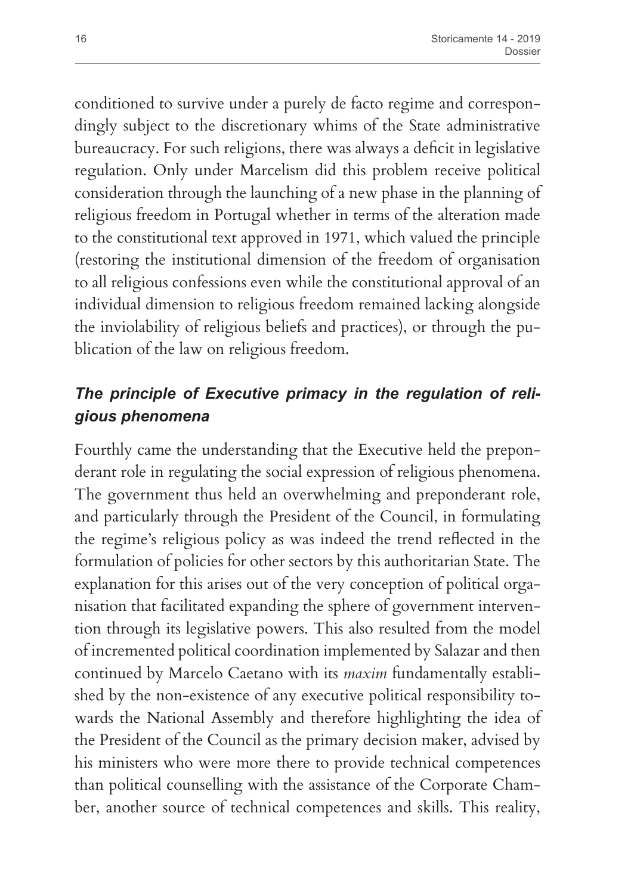conditioned to survive under a purely de facto regime and correspondingly subject to the discretionary whims of the State administrative bureaucracy. For such religions, there was always a deficit in legislative regulation. Only under Marcelism did this problem receive political consideration through the launching of a new phase in the planning of religious freedom in Portugal whether in terms of the alteration made to the constitutional text approved in 1971, which valued the principle (restoring the institutional dimension of the freedom of organisation to all religious confessions even while the constitutional approval of an individual dimension to religious freedom remained lacking alongside the inviolability of religious beliefs and practices), or through the publication of the law on religious freedom.

# *The principle of Executive primacy in the regulation of religious phenomena*

Fourthly came the understanding that the Executive held the preponderant role in regulating the social expression of religious phenomena. The government thus held an overwhelming and preponderant role, and particularly through the President of the Council, in formulating the regime's religious policy as was indeed the trend reflected in the formulation of policies for other sectors by this authoritarian State. The explanation for this arises out of the very conception of political organisation that facilitated expanding the sphere of government intervention through its legislative powers. This also resulted from the model of incremented political coordination implemented by Salazar and then continued by Marcelo Caetano with its *maxim* fundamentally established by the non-existence of any executive political responsibility towards the National Assembly and therefore highlighting the idea of the President of the Council as the primary decision maker, advised by his ministers who were more there to provide technical competences than political counselling with the assistance of the Corporate Chamber, another source of technical competences and skills. This reality,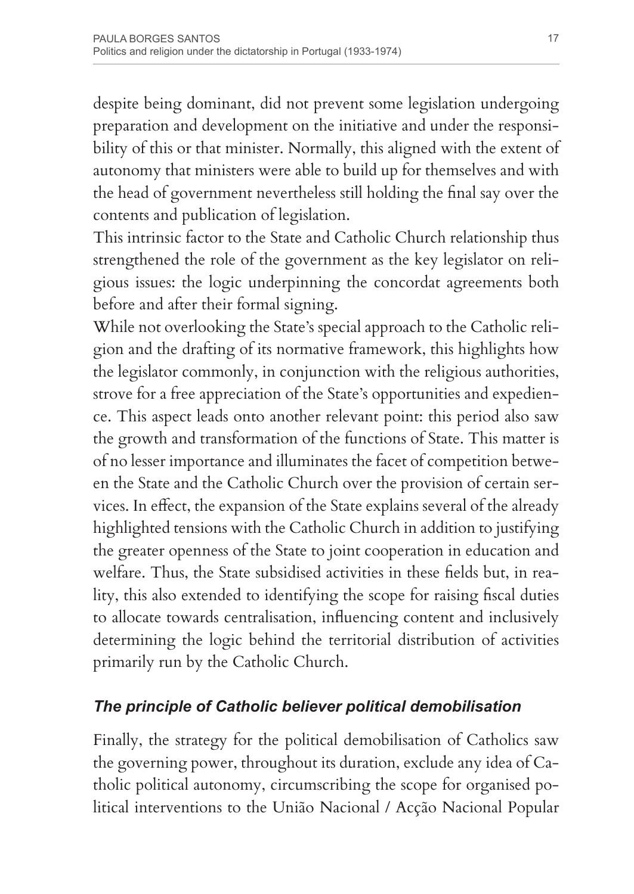despite being dominant, did not prevent some legislation undergoing preparation and development on the initiative and under the responsibility of this or that minister. Normally, this aligned with the extent of autonomy that ministers were able to build up for themselves and with the head of government nevertheless still holding the final say over the contents and publication of legislation.

This intrinsic factor to the State and Catholic Church relationship thus strengthened the role of the government as the key legislator on religious issues: the logic underpinning the concordat agreements both before and after their formal signing.

While not overlooking the State's special approach to the Catholic religion and the drafting of its normative framework, this highlights how the legislator commonly, in conjunction with the religious authorities, strove for a free appreciation of the State's opportunities and expedience. This aspect leads onto another relevant point: this period also saw the growth and transformation of the functions of State. This matter is of no lesser importance and illuminates the facet of competition between the State and the Catholic Church over the provision of certain services. In effect, the expansion of the State explains several of the already highlighted tensions with the Catholic Church in addition to justifying the greater openness of the State to joint cooperation in education and welfare. Thus, the State subsidised activities in these fields but, in reality, this also extended to identifying the scope for raising fiscal duties to allocate towards centralisation, influencing content and inclusively determining the logic behind the territorial distribution of activities primarily run by the Catholic Church.

# *The principle of Catholic believer political demobilisation*

Finally, the strategy for the political demobilisation of Catholics saw the governing power, throughout its duration, exclude any idea of Catholic political autonomy, circumscribing the scope for organised political interventions to the União Nacional / Acção Nacional Popular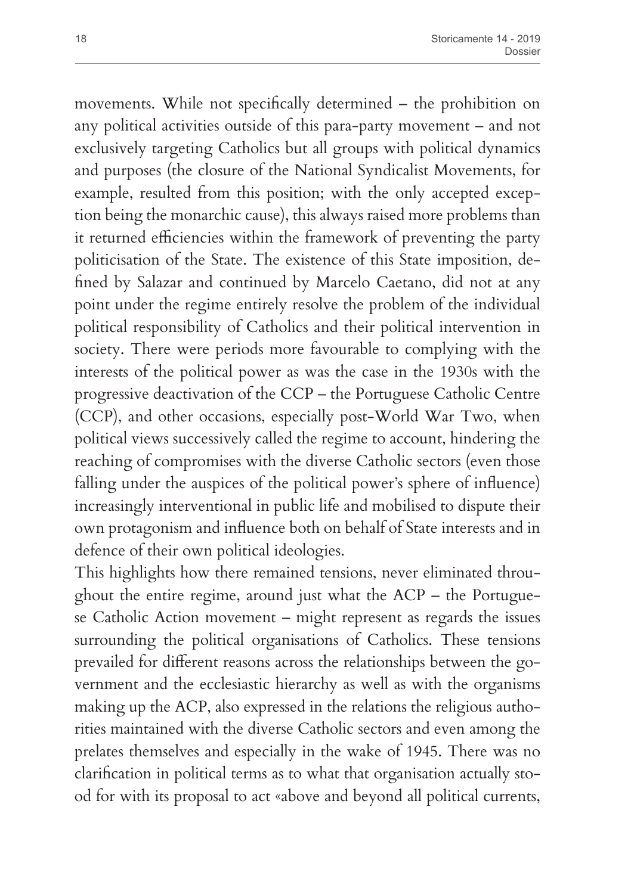movements. While not specifically determined – the prohibition on any political activities outside of this para-party movement – and not exclusively targeting Catholics but all groups with political dynamics and purposes (the closure of the National Syndicalist Movements, for example, resulted from this position; with the only accepted exception being the monarchic cause), this always raised more problems than it returned efficiencies within the framework of preventing the party politicisation of the State. The existence of this State imposition, defined by Salazar and continued by Marcelo Caetano, did not at any point under the regime entirely resolve the problem of the individual political responsibility of Catholics and their political intervention in society. There were periods more favourable to complying with the interests of the political power as was the case in the 1930s with the progressive deactivation of the CCP – the Portuguese Catholic Centre (CCP), and other occasions, especially post-World War Two, when political views successively called the regime to account, hindering the reaching of compromises with the diverse Catholic sectors (even those falling under the auspices of the political power's sphere of influence) increasingly interventional in public life and mobilised to dispute their own protagonism and influence both on behalf of State interests and in defence of their own political ideologies.

This highlights how there remained tensions, never eliminated throughout the entire regime, around just what the ACP – the Portuguese Catholic Action movement – might represent as regards the issues surrounding the political organisations of Catholics. These tensions prevailed for different reasons across the relationships between the government and the ecclesiastic hierarchy as well as with the organisms making up the ACP, also expressed in the relations the religious authorities maintained with the diverse Catholic sectors and even among the prelates themselves and especially in the wake of 1945. There was no clarification in political terms as to what that organisation actually stood for with its proposal to act «above and beyond all political currents,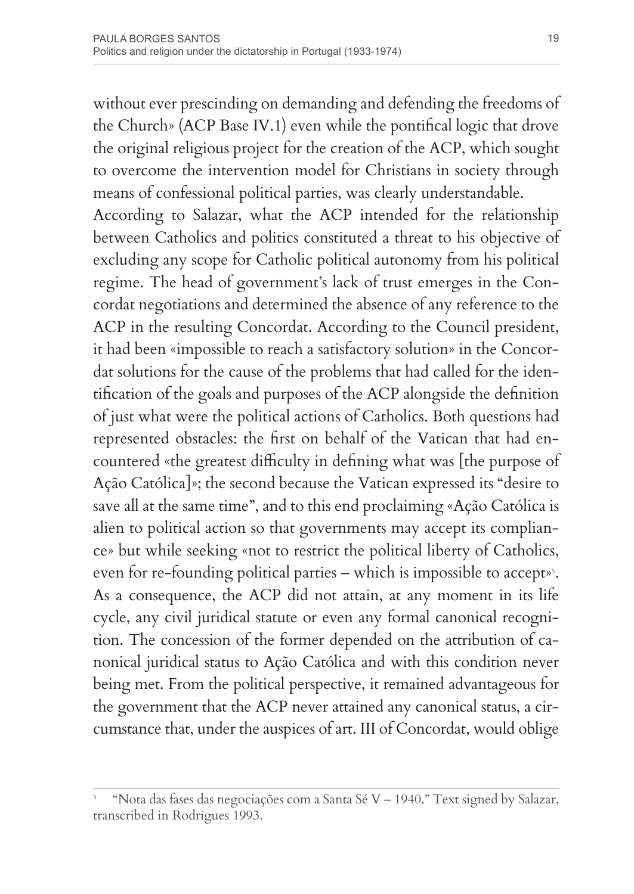without ever prescinding on demanding and defending the freedoms of the Church» (ACP Base IV.1) even while the pontifical logic that drove the original religious project for the creation of the ACP, which sought to overcome the intervention model for Christians in society through means of confessional political parties, was clearly understandable.

According to Salazar, what the ACP intended for the relationship between Catholics and politics constituted a threat to his objective of excluding any scope for Catholic political autonomy from his political regime. The head of government's lack of trust emerges in the Concordat negotiations and determined the absence of any reference to the ACP in the resulting Concordat. According to the Council president, it had been «impossible to reach a satisfactory solution» in the Concordat solutions for the cause of the problems that had called for the identification of the goals and purposes of the ACP alongside the definition of just what were the political actions of Catholics. Both questions had represented obstacles: the first on behalf of the Vatican that had encountered «the greatest difficulty in defining what was [the purpose of Ação Católica]»; the second because the Vatican expressed its "desire to save all at the same time", and to this end proclaiming «Ação Católica is alien to political action so that governments may accept its compliance» but while seeking «not to restrict the political liberty of Catholics, even for re-founding political parties – which is impossible to accept»5. As a consequence, the ACP did not attain, at any moment in its life cycle, any civil juridical statute or even any formal canonical recognition. The concession of the former depended on the attribution of canonical juridical status to Ação Católica and with this condition never being met. From the political perspective, it remained advantageous for the government that the ACP never attained any canonical status, a circumstance that, under the auspices of art. III of Concordat, would oblige

<sup>5</sup> "Nota das fases das negociações com a Santa Sé V – 1940." Text signed by Salazar, transcribed in Rodrigues 1993.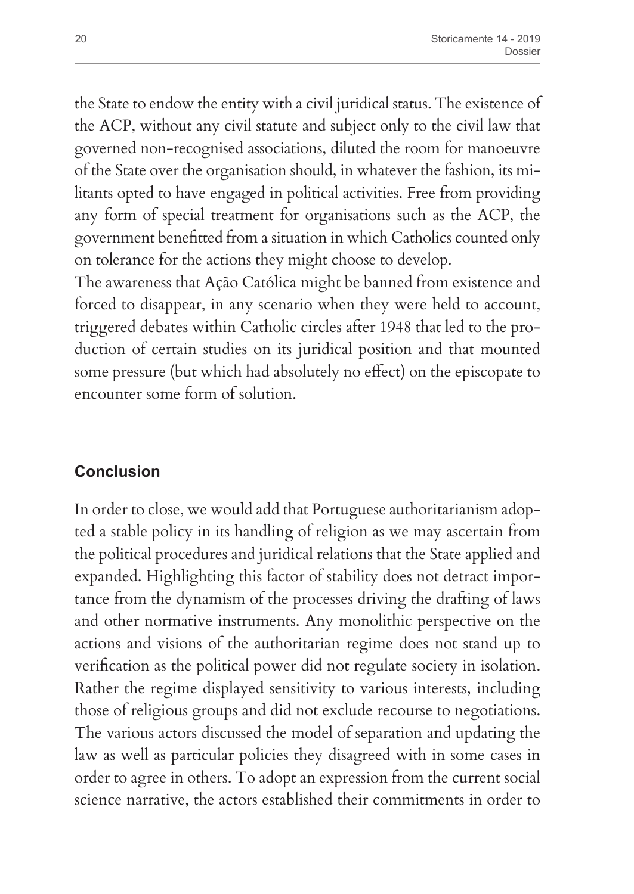the State to endow the entity with a civil juridical status. The existence of the ACP, without any civil statute and subject only to the civil law that governed non-recognised associations, diluted the room for manoeuvre of the State over the organisation should, in whatever the fashion, its militants opted to have engaged in political activities. Free from providing any form of special treatment for organisations such as the ACP, the government benefitted from a situation in which Catholics counted only on tolerance for the actions they might choose to develop.

The awareness that Ação Católica might be banned from existence and forced to disappear, in any scenario when they were held to account, triggered debates within Catholic circles after 1948 that led to the production of certain studies on its juridical position and that mounted some pressure (but which had absolutely no effect) on the episcopate to encounter some form of solution.

#### **Conclusion**

In order to close, we would add that Portuguese authoritarianism adopted a stable policy in its handling of religion as we may ascertain from the political procedures and juridical relations that the State applied and expanded. Highlighting this factor of stability does not detract importance from the dynamism of the processes driving the drafting of laws and other normative instruments. Any monolithic perspective on the actions and visions of the authoritarian regime does not stand up to verification as the political power did not regulate society in isolation. Rather the regime displayed sensitivity to various interests, including those of religious groups and did not exclude recourse to negotiations. The various actors discussed the model of separation and updating the law as well as particular policies they disagreed with in some cases in order to agree in others. To adopt an expression from the current social science narrative, the actors established their commitments in order to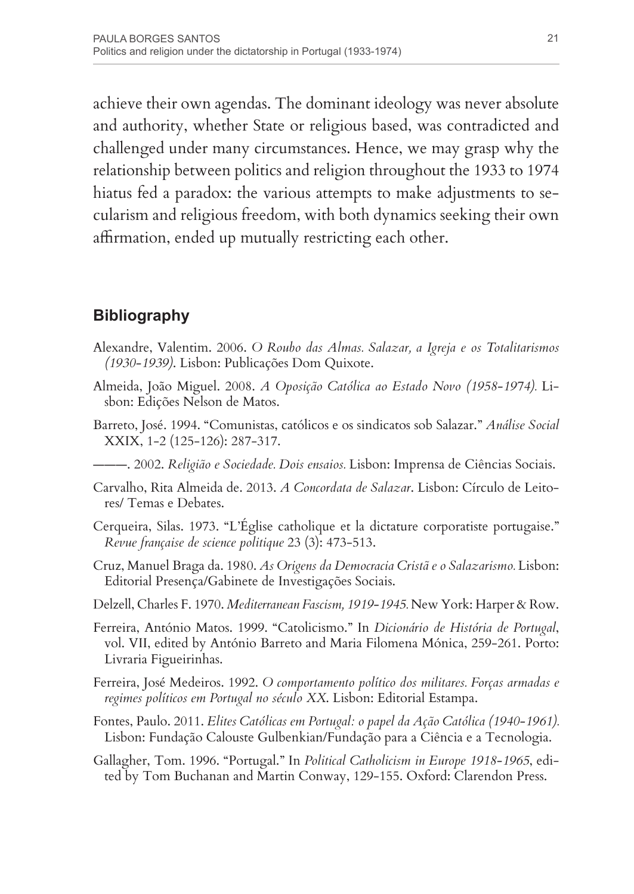achieve their own agendas. The dominant ideology was never absolute and authority, whether State or religious based, was contradicted and challenged under many circumstances. Hence, we may grasp why the relationship between politics and religion throughout the 1933 to 1974 hiatus fed a paradox: the various attempts to make adjustments to secularism and religious freedom, with both dynamics seeking their own affirmation, ended up mutually restricting each other.

#### **Bibliography**

- Alexandre, Valentim. 2006. *O Roubo das Almas. Salazar, a Igreja e os Totalitarismos (1930-1939)*. Lisbon: Publicações Dom Quixote.
- Almeida, João Miguel. 2008. *A Oposição Católica ao Estado Novo (1958-1974).* Lisbon: Edições Nelson de Matos.
- Barreto, José. 1994. "Comunistas, católicos e os sindicatos sob Salazar." *Análise Social* XXIX, 1-2 (125-126): 287-317.
- ———. 2002. *Religião e Sociedade. Dois ensaios.* Lisbon: Imprensa de Ciências Sociais.
- Carvalho, Rita Almeida de. 2013. *A Concordata de Salazar*. Lisbon: Círculo de Leitores/ Temas e Debates.
- Cerqueira, Silas. 1973. "L'Église catholique et la dictature corporatiste portugaise." *Revue française de science politique* 23 (3): 473-513.
- Cruz, Manuel Braga da. 1980. *As Origens da Democracia Cristã e o Salazarismo.* Lisbon: Editorial Presença/Gabinete de Investigações Sociais.
- Delzell, Charles F. 1970. *Mediterranean Fascism, 1919-1945.* New York: Harper & Row.
- Ferreira, António Matos. 1999. "Catolicismo." In *Dicionário de História de Portugal*, vol. VII, edited by António Barreto and Maria Filomena Mónica, 259-261. Porto: Livraria Figueirinhas.
- Ferreira, José Medeiros. 1992. *O comportamento político dos militares. Forças armadas e regimes políticos em Portugal no século XX*. Lisbon: Editorial Estampa.
- Fontes, Paulo. 2011. *Elites Católicas em Portugal: o papel da Ação Católica (1940-1961).* Lisbon: Fundação Calouste Gulbenkian/Fundação para a Ciência e a Tecnologia.
- Gallagher, Tom. 1996. "Portugal." In *Political Catholicism in Europe 1918-1965*, edited by Tom Buchanan and Martin Conway, 129-155. Oxford: Clarendon Press.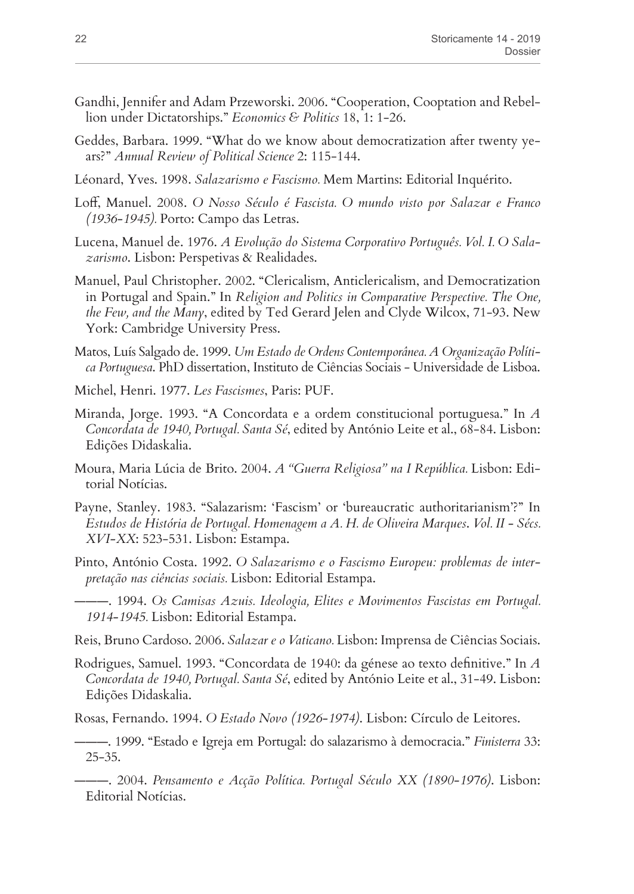- Gandhi, Jennifer and Adam Przeworski. 2006. "Cooperation, Cooptation and Rebellion under Dictatorships." *Economics & Politics* 18, 1: 1-26.
- Geddes, Barbara. 1999. "What do we know about democratization after twenty years?" *Annual Review of Political Science* 2: 115-144.
- Léonard, Yves. 1998. *Salazarismo e Fascismo.* Mem Martins: Editorial Inquérito.
- Loff, Manuel. 2008. *O Nosso Século é Fascista. O mundo visto por Salazar e Franco (1936-1945).* Porto: Campo das Letras.
- Lucena, Manuel de. 1976. *A Evolução do Sistema Corporativo Português. Vol. I. O Salazarismo*. Lisbon: Perspetivas & Realidades.
- Manuel, Paul Christopher. 2002. "Clericalism, Anticlericalism, and Democratization in Portugal and Spain." In *Religion and Politics in Comparative Perspective. The One, the Few, and the Many*, edited by Ted Gerard Jelen and Clyde Wilcox, 71-93. New York: Cambridge University Press.
- Matos, Luís Salgado de. 1999. *Um Estado de Ordens Contemporânea. A Organização Política Portuguesa*. PhD dissertation, Instituto de Ciências Sociais - Universidade de Lisboa.
- Michel, Henri. 1977. *Les Fascismes*, Paris: PUF.
- Miranda, Jorge. 1993. "A Concordata e a ordem constitucional portuguesa." In *A Concordata de 1940, Portugal. Santa Sé*, edited by António Leite et al., 68-84. Lisbon: Edições Didaskalia.
- Moura, Maria Lúcia de Brito. 2004. *A "Guerra Religiosa" na I República.* Lisbon: Editorial Notícias.
- Payne, Stanley. 1983. "Salazarism: 'Fascism' or 'bureaucratic authoritarianism'?" In *Estudos de História de Portugal. Homenagem a A. H. de Oliveira Marques*. *Vol. II - Sécs. XVI-XX*: 523-531. Lisbon: Estampa.
- Pinto, António Costa. 1992. *O Salazarismo e o Fascismo Europeu: problemas de interpretação nas ciências sociais.* Lisbon: Editorial Estampa.
- ———. 1994. *Os Camisas Azuis. Ideologia, Elites e Movimentos Fascistas em Portugal. 1914-1945.* Lisbon: Editorial Estampa.
- Reis, Bruno Cardoso. 2006. *Salazar e o Vaticano.* Lisbon: Imprensa de Ciências Sociais.
- Rodrigues, Samuel. 1993. "Concordata de 1940: da génese ao texto definitive." In *A Concordata de 1940, Portugal. Santa Sé*, edited by António Leite et al., 31-49. Lisbon: Edições Didaskalia.
- Rosas, Fernando. 1994. *O Estado Novo (1926-1974)*. Lisbon: Círculo de Leitores.
- ———. 1999. "Estado e Igreja em Portugal: do salazarismo à democracia." *Finisterra* 33: 25-35.
- ———. 2004. *Pensamento e Acção Política. Portugal Século XX (1890-1976)*. Lisbon: Editorial Notícias.